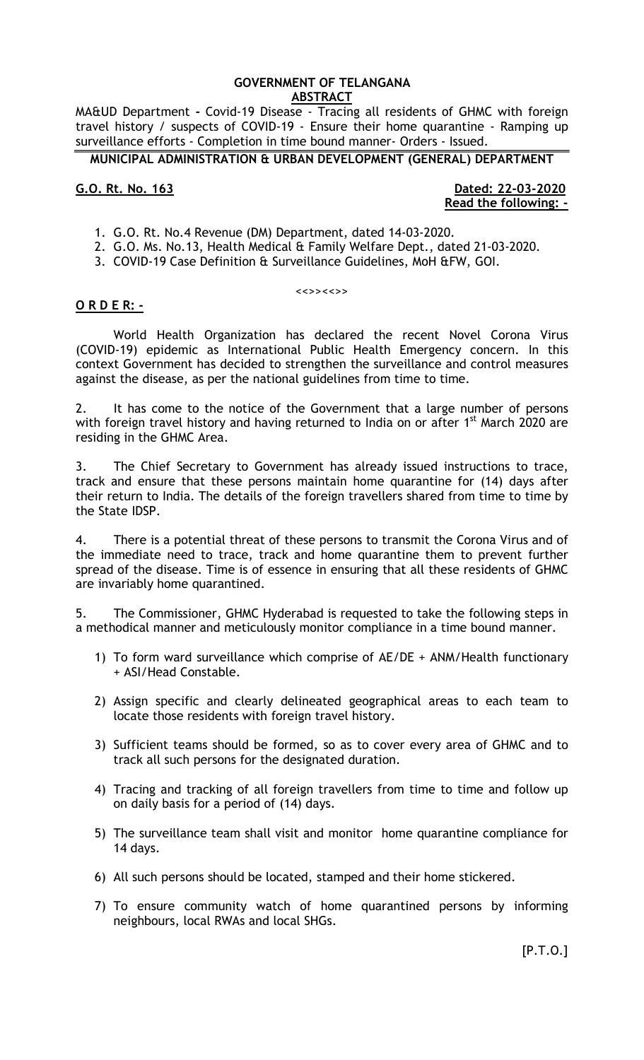### GOVERNMENT OF TELANGANA

#### **ABSTRACT**

MA&UD Department - Covid-19 Disease - Tracing all residents of GHMC with foreign travel history / suspects of COVID-19 - Ensure their home quarantine - Ramping up surveillance efforts - Completion in time bound manner- Orders - Issued.

#### MUNICIPAL ADMINISTRATION & URBAN DEVELOPMENT (GENERAL) DEPARTMENT

G.O. Rt. No. 163 **Dated: 22-03-2020** Read the following: -

- 1. G.O. Rt. No.4 Revenue (DM) Department, dated 14-03-2020.
- 2. G.O. Ms. No.13, Health Medical & Family Welfare Dept., dated 21-03-2020.
- 3. COVID-19 Case Definition & Surveillance Guidelines, MoH &FW, GOI.

#### <<>><<>>

#### O R D E R: -

World Health Organization has declared the recent Novel Corona Virus (COVID-19) epidemic as International Public Health Emergency concern. In this context Government has decided to strengthen the surveillance and control measures against the disease, as per the national guidelines from time to time.

2. It has come to the notice of the Government that a large number of persons with foreign travel history and having returned to India on or after  $1<sup>st</sup>$  March 2020 are residing in the GHMC Area.

3. The Chief Secretary to Government has already issued instructions to trace, track and ensure that these persons maintain home quarantine for (14) days after their return to India. The details of the foreign travellers shared from time to time by the State IDSP.

4. There is a potential threat of these persons to transmit the Corona Virus and of the immediate need to trace, track and home quarantine them to prevent further spread of the disease. Time is of essence in ensuring that all these residents of GHMC are invariably home quarantined.

5. The Commissioner, GHMC Hyderabad is requested to take the following steps in a methodical manner and meticulously monitor compliance in a time bound manner.

- 1) To form ward surveillance which comprise of AE/DE + ANM/Health functionary + ASI/Head Constable.
- 2) Assign specific and clearly delineated geographical areas to each team to locate those residents with foreign travel history.
- 3) Sufficient teams should be formed, so as to cover every area of GHMC and to track all such persons for the designated duration.
- 4) Tracing and tracking of all foreign travellers from time to time and follow up on daily basis for a period of (14) days.
- 5) The surveillance team shall visit and monitor home quarantine compliance for 14 days.
- 6) All such persons should be located, stamped and their home stickered.
- 7) To ensure community watch of home quarantined persons by informing neighbours, local RWAs and local SHGs.